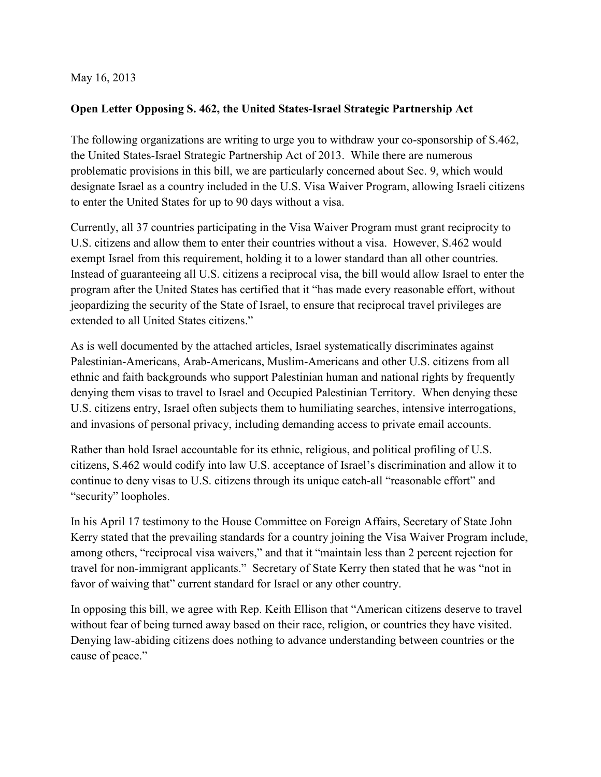## May 16, 2013

## **Open Letter Opposing S. 462, the United States-Israel Strategic Partnership Act**

The following organizations are writing to urge you to withdraw your co-sponsorship of S.462, the United States-Israel Strategic Partnership Act of 2013. While there are numerous problematic provisions in this bill, we are particularly concerned about Sec. 9, which would designate Israel as a country included in the U.S. Visa Waiver Program, allowing Israeli citizens to enter the United States for up to 90 days without a visa.

Currently, all 37 countries participating in the Visa Waiver Program must grant reciprocity to U.S. citizens and allow them to enter their countries without a visa. However, S.462 would exempt Israel from this requirement, holding it to a lower standard than all other countries. Instead of guaranteeing all U.S. citizens a reciprocal visa, the bill would allow Israel to enter the program after the United States has certified that it "has made every reasonable effort, without jeopardizing the security of the State of Israel, to ensure that reciprocal travel privileges are extended to all United States citizens."

As is well documented by the attached articles, Israel systematically discriminates against Palestinian-Americans, Arab-Americans, Muslim-Americans and other U.S. citizens from all ethnic and faith backgrounds who support Palestinian human and national rights by frequently denying them visas to travel to Israel and Occupied Palestinian Territory. When denying these U.S. citizens entry, Israel often subjects them to humiliating searches, intensive interrogations, and invasions of personal privacy, including demanding access to private email accounts.

Rather than hold Israel accountable for its ethnic, religious, and political profiling of U.S. citizens, S.462 would codify into law U.S. acceptance of Israel's discrimination and allow it to continue to deny visas to U.S. citizens through its unique catch-all "reasonable effort" and "security" loopholes.

In his April 17 testimony to the House Committee on Foreign Affairs, Secretary of State John Kerry stated that the prevailing standards for a country joining the Visa Waiver Program include, among others, "reciprocal visa waivers," and that it "maintain less than 2 percent rejection for travel for non-immigrant applicants." Secretary of State Kerry then stated that he was "not in favor of waiving that" current standard for Israel or any other country.

In opposing this bill, we agree with Rep. Keith Ellison that "American citizens deserve to travel without fear of being turned away based on their race, religion, or countries they have visited. Denying law-abiding citizens does nothing to advance understanding between countries or the cause of peace."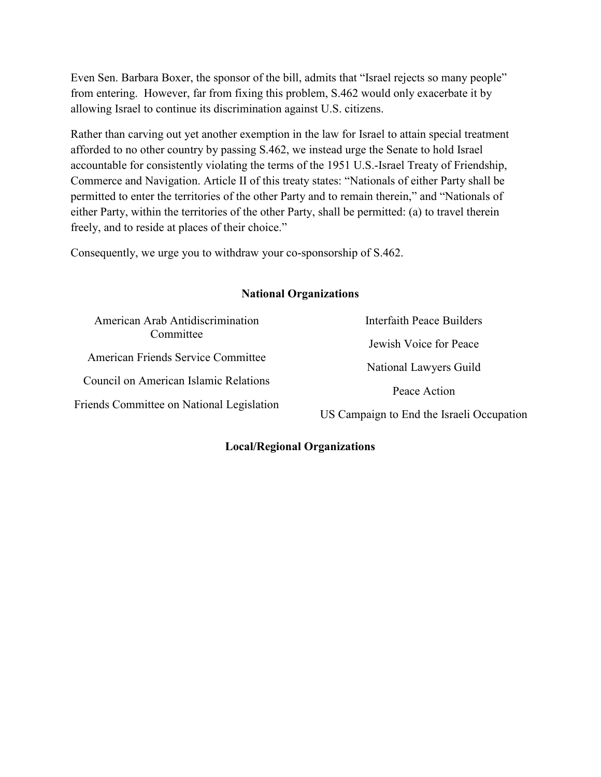Even Sen. Barbara Boxer, the sponsor of the bill, admits that "Israel rejects so many people" from entering. However, far from fixing this problem, S.462 would only exacerbate it by allowing Israel to continue its discrimination against U.S. citizens.

Rather than carving out yet another exemption in the law for Israel to attain special treatment afforded to no other country by passing S.462, we instead urge the Senate to hold Israel accountable for consistently violating the terms of the 1951 U.S.-Israel Treaty of Friendship, Commerce and Navigation. Article II of this treaty states: "Nationals of either Party shall be permitted to enter the territories of the other Party and to remain therein," and "Nationals of either Party, within the territories of the other Party, shall be permitted: (a) to travel therein freely, and to reside at places of their choice."

Consequently, we urge you to withdraw your co-sponsorship of S.462.

## **National Organizations**

| American Arab Antidiscrimination          | Interfaith Peace Builders                 |
|-------------------------------------------|-------------------------------------------|
| Committee                                 | Jewish Voice for Peace                    |
| American Friends Service Committee        | National Lawyers Guild                    |
| Council on American Islamic Relations     | Peace Action                              |
| Friends Committee on National Legislation |                                           |
|                                           | US Campaign to End the Israeli Occupation |

## **Local/Regional Organizations**